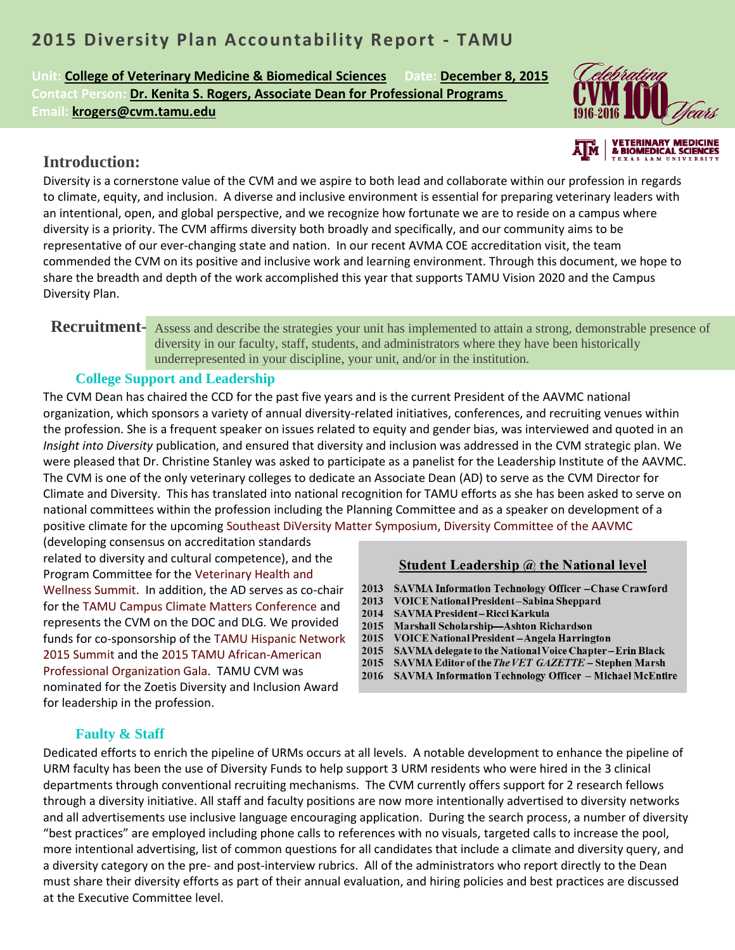# **2015 Diversity Plan Accountability Report - TAMU**

**Unit: College of Veterinary Medicine & Biomedical Sciences Date: December 8, 2015 Contact Person: Dr. Kenita S. Rogers, Associate Dean for Professional Programs Email: krogers@cvm.tamu.edu**



## **Introduction:**

Diversity is a cornerstone value of the CVM and we aspire to both lead and collaborate within our profession in regards to climate, equity, and inclusion. A diverse and inclusive environment is essential for preparing veterinary leaders with an intentional, open, and global perspective, and we recognize how fortunate we are to reside on a campus where diversity is a priority. The CVM affirms diversity both broadly and specifically, and our community aims to be representative of our ever-changing state and nation. In our recent AVMA COE accreditation visit, the team commended the CVM on its positive and inclusive work and learning environment. Through this document, we hope to share the breadth and depth of the work accomplished this year that supports TAMU Vision 2020 and the Campus Diversity Plan.

#### Assess and describe the strategies your unit has implemented to attain a strong, demonstrable presence of **Recruitment**diversity in our faculty, staff, students, and administrators where they have been historically underrepresented in your discipline, your unit, and/or in the institution.

#### **College Support and Leadership**

The CVM Dean has chaired the CCD for the past five years and is the current President of the AAVMC national organization, which sponsors a variety of annual diversity-related initiatives, conferences, and recruiting venues within the profession. She is a frequent speaker on issues related to equity and gender bias, was interviewed and quoted in an *Insight into Diversity* publication, and ensured that diversity and inclusion was addressed in the CVM strategic plan. We were pleased that Dr. Christine Stanley was asked to participate as a panelist for the Leadership Institute of the AAVMC. The CVM is one of the only veterinary colleges to dedicate an Associate Dean (AD) to serve as the CVM Director for Climate and Diversity. This has translated into national recognition for TAMU efforts as she has been asked to serve on national committees within the profession including the Planning Committee and as a speaker on development of a positive climate for the upcoming Southeast DiVersity Matter Symposium, Diversity Committee of the AAVMC

(developing consensus on accreditation standards related to diversity and cultural competence), and the Program Committee for the Veterinary Health and Wellness Summit. In addition, the AD serves as co-chair for the TAMU Campus Climate Matters Conference and represents the CVM on the DOC and DLG. We provided funds for co-sponsorship of the TAMU Hispanic Network 2015 Summit and the 2015 TAMU African-American Professional Organization Gala. TAMU CVM was nominated for the Zoetis Diversity and Inclusion Award for leadership in the profession.

#### Student Leadership @ the National level

- 2013 SAVMA Information Technology Officer -Chase Crawford
- VOICE National President-Sabina Sheppard 2013
- SAVMA President-Ricci Karkula 2014
- 2015 Marshall Scholarship-Ashton Richardson
- 2015 VOICE National President - Angela Harrington
- 2015 SAVMA delegate to the National Voice Chapter-Erin Black
- 2015 SAVMA Editor of the The VET GAZETTE Stephen Marsh
- 2016 SAVMA Information Technology Officer Michael McEntire

#### **Faulty & Staff**

Dedicated efforts to enrich the pipeline of URMs occurs at all levels. A notable development to enhance the pipeline of URM faculty has been the use of Diversity Funds to help support 3 URM residents who were hired in the 3 clinical departments through conventional recruiting mechanisms. The CVM currently offers support for 2 research fellows through a diversity initiative. All staff and faculty positions are now more intentionally advertised to diversity networks and all advertisements use inclusive language encouraging application. During the search process, a number of diversity "best practices" are employed including phone calls to references with no visuals, targeted calls to increase the pool, more intentional advertising, list of common questions for all candidates that include a climate and diversity query, and a diversity category on the pre- and post-interview rubrics. All of the administrators who report directly to the Dean must share their diversity efforts as part of their annual evaluation, and hiring policies and best practices are discussed at the Executive Committee level.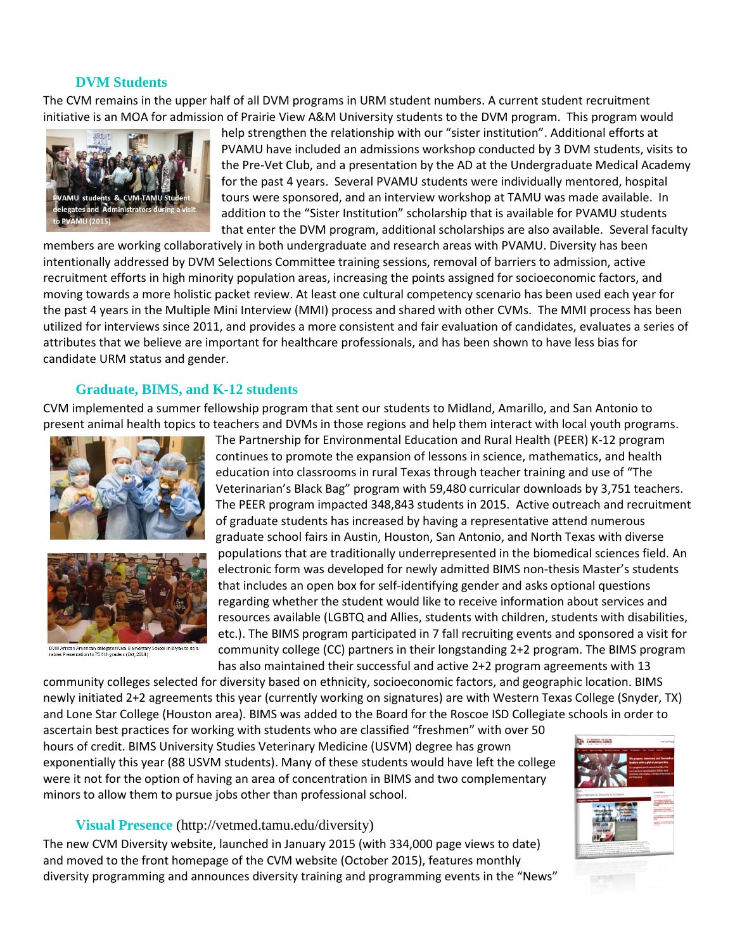#### **DVM Students**

The CVM remains in the upper half of all DVM programs in URM student numbers. A current student recruitment initiative is an MOA for admission of Prairie View A&M University students to the DVM program. This program would



help strengthen the relationship with our "sister institution". Additional efforts at PVAMU have included an admissions workshop conducted by 3 DVM students, visits to the Pre-Vet Club, and a presentation by the AD at the Undergraduate Medical Academy for the past 4 years. Several PVAMU students were individually mentored, hospital tours were sponsored, and an interview workshop at TAMU was made available. In addition to the "Sister Institution" scholarship that is available for PVAMU students that enter the DVM program, additional scholarships are also available. Several faculty

members are working collaboratively in both undergraduate and research areas with PVAMU. Diversity has been intentionally addressed by DVM Selections Committee training sessions, removal of barriers to admission, active recruitment efforts in high minority population areas, increasing the points assigned for socioeconomic factors, and moving towards a more holistic packet review. At least one cultural competency scenario has been used each year for the past 4 years in the Multiple Mini Interview (MMI) process and shared with other CVMs. The MMI process has been utilized for interviews since 2011, and provides a more consistent and fair evaluation of candidates, evaluates a series of attributes that we believe are important for healthcare professionals, and has been shown to have less bias for candidate URM status and gender.

## **Graduate, BIMS, and K-12 students**

CVM implemented a summer fellowship program that sent our students to Midland, Amarillo, and San Antonio to present animal health topics to teachers and DVMs in those regions and help them interact with local youth programs.





.<br>DVM African American delegates Neal Elementary School in Bryan to do a<br>rabies Presentation to 75 4th graders (Oct. 2014)

The Partnership for Environmental Education and Rural Health (PEER) K-12 program continues to promote the expansion of lessons in science, mathematics, and health education into classrooms in rural Texas through teacher training and use of "The Veterinarian's Black Bag" program with 59,480 curricular downloads by 3,751 teachers. The PEER program impacted 348,843 students in 2015. Active outreach and recruitment of graduate students has increased by having a representative attend numerous graduate school fairs in Austin, Houston, San Antonio, and North Texas with diverse populations that are traditionally underrepresented in the biomedical sciences field. An electronic form was developed for newly admitted BIMS non-thesis Master's students that includes an open box for self-identifying gender and asks optional questions regarding whether the student would like to receive information about services and resources available (LGBTQ and Allies, students with children, students with disabilities, etc.). The BIMS program participated in 7 fall recruiting events and sponsored a visit for community college (CC) partners in their longstanding 2+2 program. The BIMS program has also maintained their successful and active 2+2 program agreements with 13

community colleges selected for diversity based on ethnicity, socioeconomic factors, and geographic location. BIMS newly initiated 2+2 agreements this year (currently working on signatures) are with Western Texas College (Snyder, TX) and Lone Star College (Houston area). BIMS was added to the Board for the Roscoe ISD Collegiate schools in order to

ascertain best practices for working with students who are classified "freshmen" with over 50 hours of credit. BIMS University Studies Veterinary Medicine (USVM) degree has grown exponentially this year (88 USVM students). Many of these students would have left the college were it not for the option of having an area of concentration in BIMS and two complementary minors to allow them to pursue jobs other than professional school.

#### **Visual Presence** (http://vetmed.tamu.edu/diversity)

The new CVM Diversity website, launched in January 2015 (with 334,000 page views to date) and moved to the front homepage of the CVM website (October 2015), features monthly diversity programming and announces diversity training and programming events in the "News"

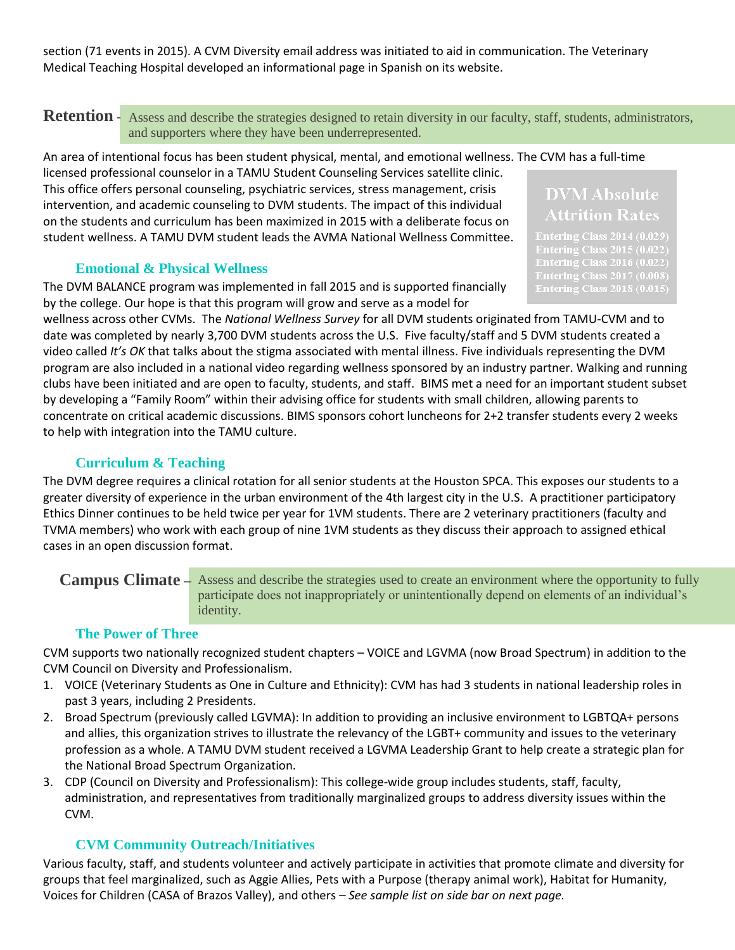section (71 events in 2015). A CVM Diversity email address was initiated to aid in communication. The Veterinary Medical Teaching Hospital developed an informational page in Spanish on its website.

Assess and describe the strategies designed to retain diversity in our faculty, staff, students, administrators, **Retention**  and supporters where they have been underrepresented.

An area of intentional focus has been student physical, mental, and emotional wellness. The CVM has a full-time licensed professional counselor in a TAMU Student Counseling Services satellite clinic.

This office offers personal counseling, psychiatric services, stress management, crisis intervention, and academic counseling to DVM students. The impact of this individual on the students and curriculum has been maximized in 2015 with a deliberate focus on student wellness. A TAMU DVM student leads the AVMA National Wellness Committee.

#### **Emotional & Physical Wellness**

The DVM BALANCE program was implemented in fall 2015 and is supported financially by the college. Our hope is that this program will grow and serve as a model for

**DVM** Absolute **Attrition Rates** 

**Entering Class 2017 (0.008) Entering Class 2018 (0.015)** 

wellness across other CVMs. The *National Wellness Survey* for all DVM students originated from TAMU-CVM and to date was completed by nearly 3,700 DVM students across the U.S. Five faculty/staff and 5 DVM students created a video called *It's OK* that talks about the stigma associated with mental illness. Five individuals representing the DVM program are also included in a national video regarding wellness sponsored by an industry partner. Walking and running clubs have been initiated and are open to faculty, students, and staff. BIMS met a need for an important student subset by developing a "Family Room" within their advising office for students with small children, allowing parents to concentrate on critical academic discussions. BIMS sponsors cohort luncheons for 2+2 transfer students every 2 weeks to help with integration into the TAMU culture.

## **Curriculum & Teaching**

The DVM degree requires a clinical rotation for all senior students at the Houston SPCA. This exposes our students to a greater diversity of experience in the urban environment of the 4th largest city in the U.S. A practitioner participatory Ethics Dinner continues to be held twice per year for 1VM students. There are 2 veterinary practitioners (faculty and TVMA members) who work with each group of nine 1VM students as they discuss their approach to assigned ethical cases in an open discussion format.

#### Campus Climate – Assess and describe the strategies used to create an environment where the opportunity to fully participate does not inappropriately or unintentionally depend on elements of an individual's identity.

#### **The Power of Three**

CVM supports two nationally recognized student chapters – VOICE and LGVMA (now Broad Spectrum) in addition to the CVM Council on Diversity and Professionalism.

- 1. VOICE (Veterinary Students as One in Culture and Ethnicity): CVM has had 3 students in national leadership roles in past 3 years, including 2 Presidents.
- 2. Broad Spectrum (previously called LGVMA): In addition to providing an inclusive environment to LGBTQA+ persons and allies, this organization strives to illustrate the relevancy of the LGBT+ community and issues to the veterinary profession as a whole. A TAMU DVM student received a LGVMA Leadership Grant to help create a strategic plan for the National Broad Spectrum Organization.
- 3. CDP (Council on Diversity and Professionalism): This college-wide group includes students, staff, faculty, administration, and representatives from traditionally marginalized groups to address diversity issues within the CVM.

## **CVM Community Outreach/Initiatives**

Various faculty, staff, and students volunteer and actively participate in activities that promote climate and diversity for groups that feel marginalized, such as Aggie Allies, Pets with a Purpose (therapy animal work), Habitat for Humanity, Voices for Children (CASA of Brazos Valley), and others *– See sample list on side bar on next page.*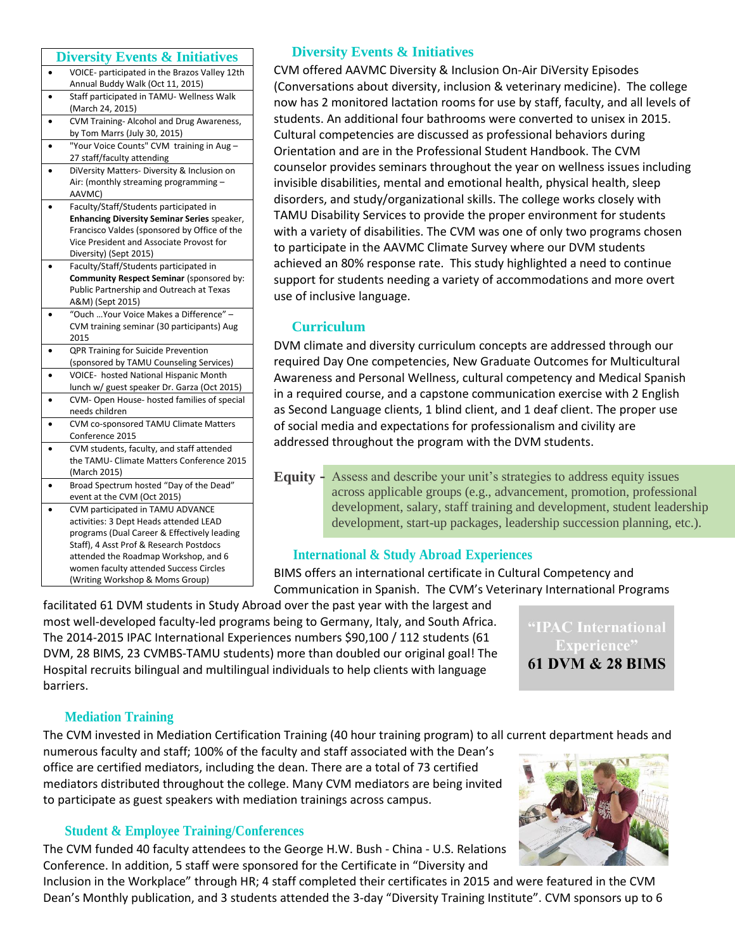#### **Diversity Events & Initiatives**

|           | <b>Diversity Events &amp; Initiatives</b>          |
|-----------|----------------------------------------------------|
| $\bullet$ | VOICE- participated in the Brazos Valley 12th      |
|           | Annual Buddy Walk (Oct 11, 2015)                   |
|           | Staff participated in TAMU- Wellness Walk          |
|           | (March 24, 2015)                                   |
|           | CVM Training- Alcohol and Drug Awareness,          |
|           | by Tom Marrs (July 30, 2015)                       |
|           | "Your Voice Counts" CVM training in Aug-           |
|           | 27 staff/faculty attending                         |
|           | DiVersity Matters- Diversity & Inclusion on        |
|           | Air: (monthly streaming programming -              |
|           | AAVMC)                                             |
|           | Faculty/Staff/Students participated in             |
|           | <b>Enhancing Diversity Seminar Series speaker,</b> |
|           | Francisco Valdes (sponsored by Office of the       |
|           | Vice President and Associate Provost for           |
|           | Diversity) (Sept 2015)                             |
|           | Faculty/Staff/Students participated in             |
|           | Community Respect Seminar (sponsored by:           |
|           | Public Partnership and Outreach at Texas           |
|           | A&M) (Sept 2015)                                   |
|           | "Ouch  Your Voice Makes a Difference" -            |
|           | CVM training seminar (30 participants) Aug         |
|           | 2015                                               |
|           | QPR Training for Suicide Prevention                |
|           | (sponsored by TAMU Counseling Services)            |
|           | VOICE- hosted National Hispanic Month              |
|           | lunch w/ guest speaker Dr. Garza (Oct 2015)        |
|           | CVM- Open House- hosted families of special        |
|           | needs children                                     |
|           | CVM co-sponsored TAMU Climate Matters              |
|           | Conference 2015                                    |
|           | CVM students, faculty, and staff attended          |
|           | the TAMU- Climate Matters Conference 2015          |
|           | (March 2015)                                       |
|           | Broad Spectrum hosted "Day of the Dead"            |
|           | event at the CVM (Oct 2015)                        |
|           | CVM participated in TAMU ADVANCE                   |
|           | activities: 3 Dept Heads attended LEAD             |
|           | programs (Dual Career & Effectively leading        |
|           | Staff), 4 Asst Prof & Research Postdocs            |
|           | attended the Roadmap Workshop, and 6               |
|           | women faculty attended Success Circles             |
|           | (Writing Workshop & Moms Group)                    |

#### **Diversity Events & Initiatives**

CVM offered AAVMC Diversity & Inclusion On-Air DiVersity Episodes (Conversations about diversity, inclusion & veterinary medicine). The college now has 2 monitored lactation rooms for use by staff, faculty, and all levels of students. An additional four bathrooms were converted to unisex in 2015. Cultural competencies are discussed as professional behaviors during Orientation and are in the Professional Student Handbook. The CVM counselor provides seminars throughout the year on wellness issues including invisible disabilities, mental and emotional health, physical health, sleep disorders, and study/organizational skills. The college works closely with TAMU Disability Services to provide the proper environment for students with a variety of disabilities. The CVM was one of only two programs chosen to participate in the AAVMC Climate Survey where our DVM students achieved an 80% response rate. This study highlighted a need to continue support for students needing a variety of accommodations and more overt use of inclusive language.

#### **Curriculum**

DVM climate and diversity curriculum concepts are addressed through our required Day One competencies, New Graduate Outcomes for Multicultural Awareness and Personal Wellness, cultural competency and Medical Spanish in a required course, and a capstone communication exercise with 2 English as Second Language clients, 1 blind client, and 1 deaf client. The proper use of social media and expectations for professionalism and civility are addressed throughout the program with the DVM students.

Assess and describe your unit's strategies to address equity issues across applicable groups (e.g., advancement, promotion, professional development, salary, staff training and development, student leadership development, start-up packages, leadership succession planning, etc.). **Equity -**

#### **International & Study Abroad Experiences**

BIMS offers an international certificate in Cultural Competency and Communication in Spanish. The CVM's Veterinary International Programs

facilitated 61 DVM students in Study Abroad over the past year with the largest and most well-developed faculty-led programs being to Germany, Italy, and South Africa. The 2014-2015 IPAC International Experiences numbers \$90,100 / 112 students (61 DVM, 28 BIMS, 23 CVMBS-TAMU students) more than doubled our original goal! The Hospital recruits bilingual and multilingual individuals to help clients with language barriers.

"IPAC International **Experience" 61 DVM & 28 BIMS** 

#### **Mediation Training**

The CVM invested in Mediation Certification Training (40 hour training program) to all current department heads and

numerous faculty and staff; 100% of the faculty and staff associated with the Dean's office are certified mediators, including the dean. There are a total of 73 certified mediators distributed throughout the college. Many CVM mediators are being invited to participate as guest speakers with mediation trainings across campus.

## **Student & Employee Training/Conferences**

The CVM funded 40 faculty attendees to the George H.W. Bush - China - U.S. Relations Conference. In addition, 5 staff were sponsored for the Certificate in "Diversity and

Inclusion in the Workplace" through HR; 4 staff completed their certificates in 2015 and were featured in the CVM Dean's Monthly publication, and 3 students attended the 3-day "Diversity Training Institute". CVM sponsors up to 6